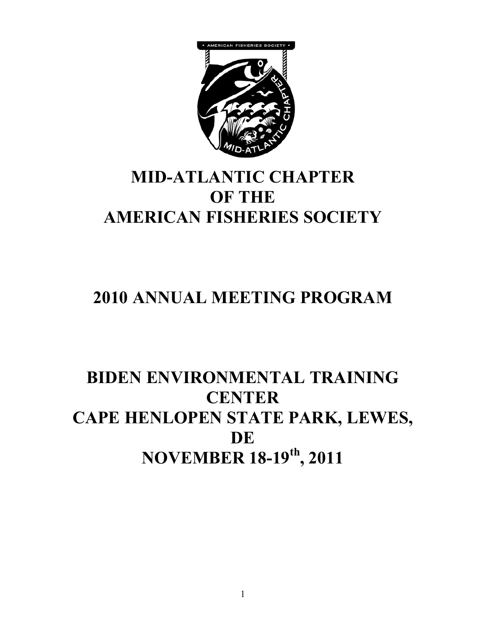

# **MID-ATLANTIC CHAPTER OF THE AMERICAN FISHERIES SOCIETY**

# **2010 ANNUAL MEETING PROGRAM**

# **BIDEN ENVIRONMENTAL TRAINING CENTER CAPE HENLOPEN STATE PARK, LEWES, DE NOVEMBER 18-19th, 2011**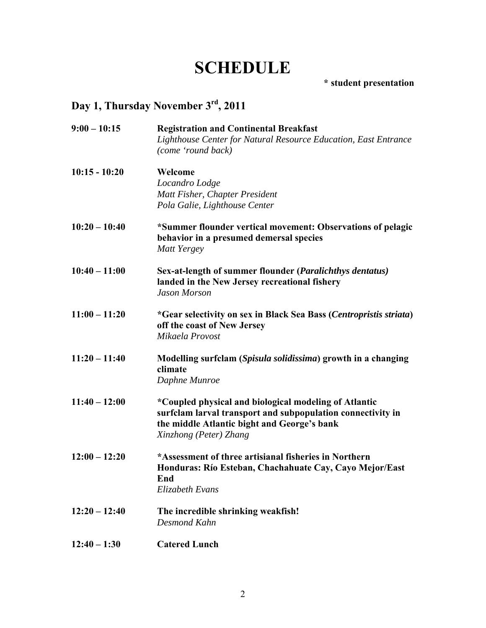# **SCHEDULE**

**\* student presentation** 

# **Day 1, Thursday November 3rd, 2011**

| $9:00 - 10:15$  | <b>Registration and Continental Breakfast</b>                      |
|-----------------|--------------------------------------------------------------------|
|                 | Lighthouse Center for Natural Resource Education, East Entrance    |
|                 | (come 'round back)                                                 |
| $10:15 - 10:20$ | Welcome                                                            |
|                 | Locandro Lodge                                                     |
|                 | Matt Fisher, Chapter President                                     |
|                 | Pola Galie, Lighthouse Center                                      |
| $10:20 - 10:40$ | *Summer flounder vertical movement: Observations of pelagic        |
|                 | behavior in a presumed demersal species                            |
|                 | Matt Yergey                                                        |
| $10:40 - 11:00$ | Sex-at-length of summer flounder (Paralichthys dentatus)           |
|                 | landed in the New Jersey recreational fishery                      |
|                 | <b>Jason Morson</b>                                                |
| $11:00 - 11:20$ | *Gear selectivity on sex in Black Sea Bass (Centropristis striata) |
|                 | off the coast of New Jersey                                        |
|                 | Mikaela Provost                                                    |
| $11:20 - 11:40$ | Modelling surfclam (Spisula solidissima) growth in a changing      |
|                 | climate                                                            |
|                 | Daphne Munroe                                                      |
| $11:40 - 12:00$ | *Coupled physical and biological modeling of Atlantic              |
|                 | surfclam larval transport and subpopulation connectivity in        |
|                 | the middle Atlantic bight and George's bank                        |
|                 | Xinzhong (Peter) Zhang                                             |
| $12:00 - 12:20$ | *Assessment of three artisianal fisheries in Northern              |
|                 | Honduras: Río Esteban, Chachahuate Cay, Cayo Mejor/East            |
|                 | End                                                                |
|                 | Elizabeth Evans                                                    |
| $12:20 - 12:40$ | The incredible shrinking weakfish!                                 |
|                 | Desmond Kahn                                                       |
| $12:40 - 1:30$  | <b>Catered Lunch</b>                                               |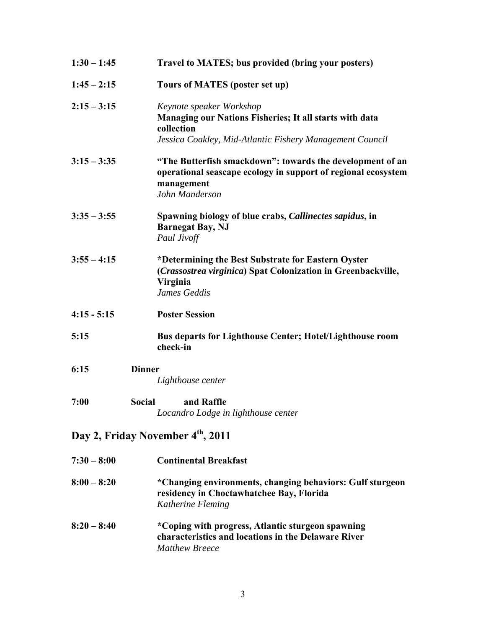| $1:30 - 1:45$         | Travel to MATES; bus provided (bring your posters)                                                                                                            |
|-----------------------|---------------------------------------------------------------------------------------------------------------------------------------------------------------|
| $1:45 - 2:15$         | Tours of MATES (poster set up)                                                                                                                                |
| $2:15 - 3:15$         | Keynote speaker Workshop<br>Managing our Nations Fisheries; It all starts with data<br>collection<br>Jessica Coakley, Mid-Atlantic Fishery Management Council |
| $3:15 - 3:35$         | "The Butterfish smackdown": towards the development of an<br>operational seascape ecology in support of regional ecosystem<br>management<br>John Manderson    |
| $3:35 - 3:55$         | Spawning biology of blue crabs, <i>Callinectes sapidus</i> , in<br><b>Barnegat Bay, NJ</b><br>Paul Jivoff                                                     |
| $3:55 - 4:15$         | *Determining the Best Substrate for Eastern Oyster<br>(Crassostrea virginica) Spat Colonization in Greenbackville,<br>Virginia<br>James Geddis                |
| $4:15 - 5:15$         | <b>Poster Session</b>                                                                                                                                         |
| 5:15                  | <b>Bus departs for Lighthouse Center; Hotel/Lighthouse room</b><br>check-in                                                                                   |
| <b>Dinner</b><br>6:15 | Lighthouse center                                                                                                                                             |
| <b>Social</b><br>7:00 | and Raffle<br>Locandro Lodge in lighthouse center                                                                                                             |
|                       | Day 2, Friday November 4th, 2011                                                                                                                              |
| $7:30 - 8:00$         | <b>Continental Breakfast</b>                                                                                                                                  |
| $8:00 - 8:20$         | *Changing environments, changing behaviors: Gulf sturgeon<br>residency in Choctawhatchee Bay, Florida<br>Katherine Fleming                                    |

**8:20 – 8:40 \*Coping with progress, Atlantic sturgeon spawning characteristics and locations in the Delaware River**  *Matthew Breece*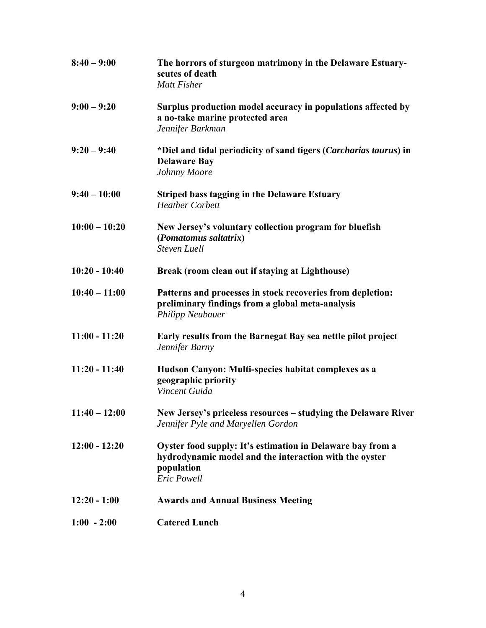| $8:40 - 9:00$   | The horrors of sturgeon matrimony in the Delaware Estuary-<br>scutes of death<br><b>Matt Fisher</b>                                                      |
|-----------------|----------------------------------------------------------------------------------------------------------------------------------------------------------|
| $9:00 - 9:20$   | Surplus production model accuracy in populations affected by<br>a no-take marine protected area<br>Jennifer Barkman                                      |
| $9:20 - 9:40$   | *Diel and tidal periodicity of sand tigers (Carcharias taurus) in<br><b>Delaware Bay</b><br>Johnny Moore                                                 |
| $9:40 - 10:00$  | <b>Striped bass tagging in the Delaware Estuary</b><br><b>Heather Corbett</b>                                                                            |
| $10:00 - 10:20$ | New Jersey's voluntary collection program for bluefish<br>(Pomatomus saltatrix)<br><b>Steven Luell</b>                                                   |
| $10:20 - 10:40$ | Break (room clean out if staying at Lighthouse)                                                                                                          |
| $10:40 - 11:00$ | Patterns and processes in stock recoveries from depletion:<br>preliminary findings from a global meta-analysis<br><b>Philipp Neubauer</b>                |
| $11:00 - 11:20$ | Early results from the Barnegat Bay sea nettle pilot project<br>Jennifer Barny                                                                           |
| $11:20 - 11:40$ | Hudson Canyon: Multi-species habitat complexes as a<br>geographic priority<br>Vincent Guida                                                              |
| $11:40 - 12:00$ | New Jersey's priceless resources - studying the Delaware River<br>Jennifer Pyle and Maryellen Gordon                                                     |
| $12:00 - 12:20$ | Oyster food supply: It's estimation in Delaware bay from a<br>hydrodynamic model and the interaction with the oyster<br>population<br><b>Eric Powell</b> |
| $12:20 - 1:00$  | <b>Awards and Annual Business Meeting</b>                                                                                                                |
| $1:00 - 2:00$   | <b>Catered Lunch</b>                                                                                                                                     |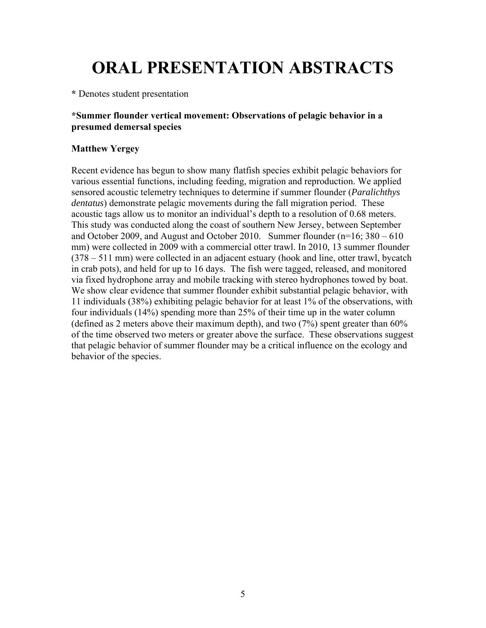# **ORAL PRESENTATION ABSTRACTS**

**\*** Denotes student presentation

# **\*Summer flounder vertical movement: Observations of pelagic behavior in a presumed demersal species**

# **Matthew Yergey**

Recent evidence has begun to show many flatfish species exhibit pelagic behaviors for various essential functions, including feeding, migration and reproduction. We applied sensored acoustic telemetry techniques to determine if summer flounder (*Paralichthys dentatus*) demonstrate pelagic movements during the fall migration period. These acoustic tags allow us to monitor an individual's depth to a resolution of 0.68 meters. This study was conducted along the coast of southern New Jersey, between September and October 2009, and August and October 2010. Summer flounder (n=16; 380 – 610 mm) were collected in 2009 with a commercial otter trawl. In 2010, 13 summer flounder (378 – 511 mm) were collected in an adjacent estuary (hook and line, otter trawl, bycatch in crab pots), and held for up to 16 days. The fish were tagged, released, and monitored via fixed hydrophone array and mobile tracking with stereo hydrophones towed by boat. We show clear evidence that summer flounder exhibit substantial pelagic behavior, with 11 individuals (38%) exhibiting pelagic behavior for at least 1% of the observations, with four individuals (14%) spending more than 25% of their time up in the water column (defined as 2 meters above their maximum depth), and two (7%) spent greater than 60% of the time observed two meters or greater above the surface. These observations suggest that pelagic behavior of summer flounder may be a critical influence on the ecology and behavior of the species.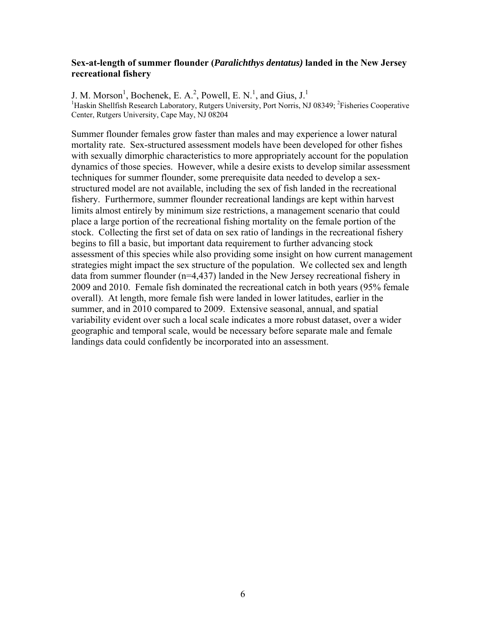#### **Sex-at-length of summer flounder (***Paralichthys dentatus)* **landed in the New Jersey recreational fishery**

J. M. Morson<sup>1</sup>, Bochenek, E. A.<sup>2</sup>, Powell, E. N.<sup>1</sup>, and Gius, J.<sup>1</sup> <sup>1</sup>Haskin Shellfish Research Laboratory, Rutgers University, Port Norris, NJ 08349; <sup>2</sup>Fisheries Cooperative Center, Rutgers University, Cape May, NJ 08204

Summer flounder females grow faster than males and may experience a lower natural mortality rate. Sex-structured assessment models have been developed for other fishes with sexually dimorphic characteristics to more appropriately account for the population dynamics of those species. However, while a desire exists to develop similar assessment techniques for summer flounder, some prerequisite data needed to develop a sexstructured model are not available, including the sex of fish landed in the recreational fishery. Furthermore, summer flounder recreational landings are kept within harvest limits almost entirely by minimum size restrictions, a management scenario that could place a large portion of the recreational fishing mortality on the female portion of the stock. Collecting the first set of data on sex ratio of landings in the recreational fishery begins to fill a basic, but important data requirement to further advancing stock assessment of this species while also providing some insight on how current management strategies might impact the sex structure of the population. We collected sex and length data from summer flounder (n=4,437) landed in the New Jersey recreational fishery in 2009 and 2010. Female fish dominated the recreational catch in both years (95% female overall). At length, more female fish were landed in lower latitudes, earlier in the summer, and in 2010 compared to 2009. Extensive seasonal, annual, and spatial variability evident over such a local scale indicates a more robust dataset, over a wider geographic and temporal scale, would be necessary before separate male and female landings data could confidently be incorporated into an assessment.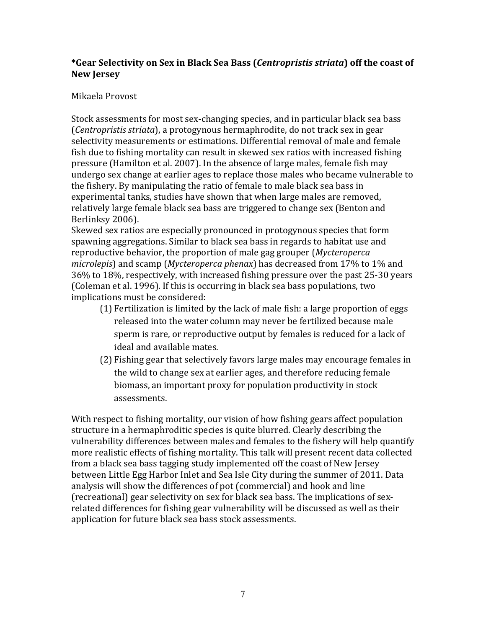# **\*Gear Selectivity on Sex in Black Sea Bass (***Centropristis striata***) off the coast of New Jersey**

# Mikaela Provost

Stock assessments for most sex-changing species, and in particular black sea bass (*Centropristis striata*), a protogynous hermaphrodite, do not track sex in gear selectivity measurements or estimations. Differential removal of male and female fish due to fishing mortality can result in skewed sex ratios with increased fishing pressure (Hamilton et al. 2007). In the absence of large males, female fish may undergo sex change at earlier ages to replace those males who became vulnerable to the fishery. By manipulating the ratio of female to male black sea bass in experimental tanks, studies have shown that when large males are removed, relatively large female black sea bass are triggered to change sex (Benton and Berlinksy 2006).

Skewed sex ratios are especially pronounced in protogynous species that form spawning aggregations. Similar to black sea bass in regards to habitat use and reproductive behavior, the proportion of male gag grouper (*Mycteroperca*) *microlepis*) and scamp (*Mycteroperca phenax*) has decreased from 17% to 1% and 36% to 18%, respectively, with increased fishing pressure over the past 25-30 years (Coleman et al. 1996). If this is occurring in black sea bass populations, two implications must be considered:

- $(1)$  Fertilization is limited by the lack of male fish: a large proportion of eggs released into the water column may never be fertilized because male sperm is rare, or reproductive output by females is reduced for a lack of ideal and available mates.
- (2) Fishing gear that selectively favors large males may encourage females in the wild to change sex at earlier ages, and therefore reducing female biomass, an important proxy for population productivity in stock assessments.

With respect to fishing mortality, our vision of how fishing gears affect population structure in a hermaphroditic species is quite blurred. Clearly describing the vulnerability differences between males and females to the fishery will help quantify more realistic effects of fishing mortality. This talk will present recent data collected from a black sea bass tagging study implemented off the coast of New Jersey between Little Egg Harbor Inlet and Sea Isle City during the summer of 2011. Data analysis will show the differences of pot (commercial) and hook and line (recreational) gear selectivity on sex for black sea bass. The implications of sexrelated differences for fishing gear vulnerability will be discussed as well as their application for future black sea bass stock assessments.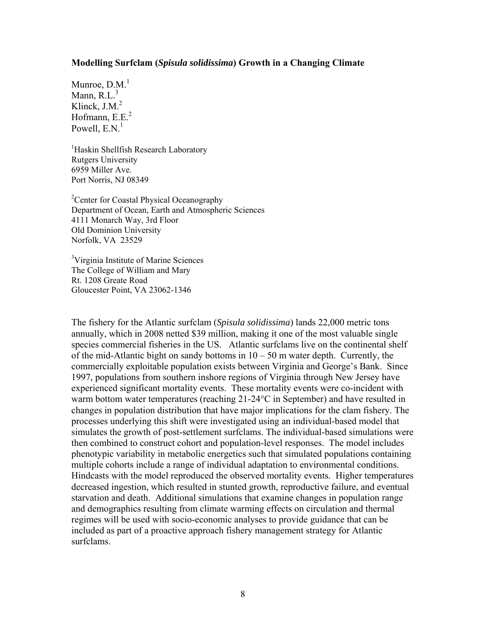#### **Modelling Surfclam (***Spisula solidissima***) Growth in a Changing Climate**

Munroe,  $D.M.<sup>1</sup>$ Mann,  $R.L.<sup>3</sup>$ Klinck,  $J.M.<sup>2</sup>$ Hofmann,  $E.E.<sup>2</sup>$ Powell,  $E.N<sup>1</sup>$ 

<sup>1</sup>Haskin Shellfish Research Laboratory Rutgers University 6959 Miller Ave. Port Norris, NJ 08349

<sup>2</sup> Center for Coastal Physical Oceanography Department of Ocean, Earth and Atmospheric Sciences 4111 Monarch Way, 3rd Floor Old Dominion University Norfolk, VA 23529

<sup>3</sup>Virginia Institute of Marine Sciences The College of William and Mary Rt. 1208 Greate Road Gloucester Point, VA 23062-1346

The fishery for the Atlantic surfclam (*Spisula solidissima*) lands 22,000 metric tons annually, which in 2008 netted \$39 million, making it one of the most valuable single species commercial fisheries in the US. Atlantic surfclams live on the continental shelf of the mid-Atlantic bight on sandy bottoms in  $10 - 50$  m water depth. Currently, the commercially exploitable population exists between Virginia and George's Bank. Since 1997, populations from southern inshore regions of Virginia through New Jersey have experienced significant mortality events. These mortality events were co-incident with warm bottom water temperatures (reaching 21-24°C in September) and have resulted in changes in population distribution that have major implications for the clam fishery. The processes underlying this shift were investigated using an individual-based model that simulates the growth of post-settlement surfclams. The individual-based simulations were then combined to construct cohort and population-level responses. The model includes phenotypic variability in metabolic energetics such that simulated populations containing multiple cohorts include a range of individual adaptation to environmental conditions. Hindcasts with the model reproduced the observed mortality events. Higher temperatures decreased ingestion, which resulted in stunted growth, reproductive failure, and eventual starvation and death. Additional simulations that examine changes in population range and demographics resulting from climate warming effects on circulation and thermal regimes will be used with socio-economic analyses to provide guidance that can be included as part of a proactive approach fishery management strategy for Atlantic surfclams.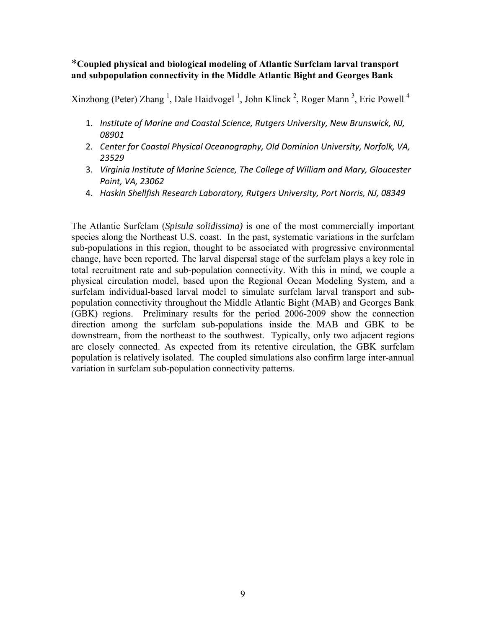# \***Coupled physical and biological modeling of Atlantic Surfclam larval transport and subpopulation connectivity in the Middle Atlantic Bight and Georges Bank**

Xinzhong (Peter) Zhang<sup>1</sup>, Dale Haidvogel<sup>1</sup>, John Klinck<sup>2</sup>, Roger Mann<sup>3</sup>, Eric Powell<sup>4</sup>

- 1. *Institute of Marine and Coastal Science, Rutgers University, New Brunswick, NJ, 08901*
- 2. *Center for Coastal Physical Oceanography, Old Dominion University, Norfolk, VA, 23529*
- 3. *Virginia Institute of Marine Science, The College of William and Mary, Gloucester Point, VA, 23062*
- 4. *Haskin Shellfish Research Laboratory, Rutgers University, Port Norris, NJ, 08349*

The Atlantic Surfclam (*Spisula solidissima)* is one of the most commercially important species along the Northeast U.S. coast. In the past, systematic variations in the surfclam sub-populations in this region, thought to be associated with progressive environmental change, have been reported. The larval dispersal stage of the surfclam plays a key role in total recruitment rate and sub-population connectivity. With this in mind, we couple a physical circulation model, based upon the Regional Ocean Modeling System, and a surfclam individual-based larval model to simulate surfclam larval transport and subpopulation connectivity throughout the Middle Atlantic Bight (MAB) and Georges Bank (GBK) regions. Preliminary results for the period 2006-2009 show the connection direction among the surfclam sub-populations inside the MAB and GBK to be downstream, from the northeast to the southwest. Typically, only two adjacent regions are closely connected. As expected from its retentive circulation, the GBK surfclam population is relatively isolated. The coupled simulations also confirm large inter-annual variation in surfclam sub-population connectivity patterns.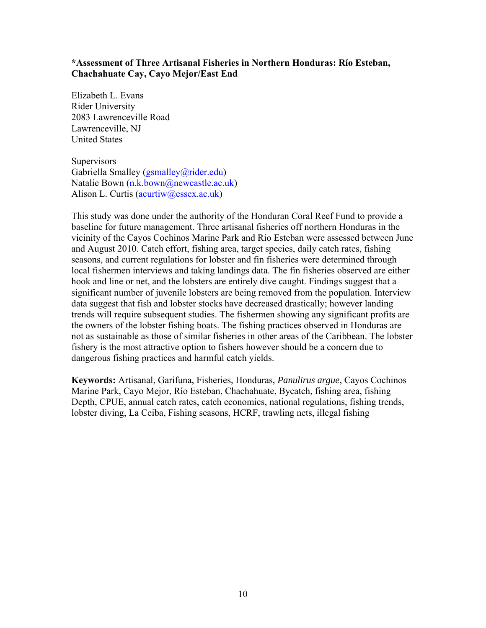## **\*Assessment of Three Artisanal Fisheries in Northern Honduras: Río Esteban, Chachahuate Cay, Cayo Mejor/East End**

Elizabeth L. Evans Rider University 2083 Lawrenceville Road Lawrenceville, NJ United States

**Supervisors** Gabriella Smalley (gsmalley@rider.edu) Natalie Bown (n.k.bown@newcastle.ac.uk) Alison L. Curtis (acurtiw@essex.ac.uk)

This study was done under the authority of the Honduran Coral Reef Fund to provide a baseline for future management. Three artisanal fisheries off northern Honduras in the vicinity of the Cayos Cochinos Marine Park and Río Esteban were assessed between June and August 2010. Catch effort, fishing area, target species, daily catch rates, fishing seasons, and current regulations for lobster and fin fisheries were determined through local fishermen interviews and taking landings data. The fin fisheries observed are either hook and line or net, and the lobsters are entirely dive caught. Findings suggest that a significant number of juvenile lobsters are being removed from the population. Interview data suggest that fish and lobster stocks have decreased drastically; however landing trends will require subsequent studies. The fishermen showing any significant profits are the owners of the lobster fishing boats. The fishing practices observed in Honduras are not as sustainable as those of similar fisheries in other areas of the Caribbean. The lobster fishery is the most attractive option to fishers however should be a concern due to dangerous fishing practices and harmful catch yields.

**Keywords:** Artisanal, Garifuna, Fisheries, Honduras, *Panulirus argue*, Cayos Cochinos Marine Park, Cayo Mejor, Río Esteban, Chachahuate, Bycatch, fishing area, fishing Depth, CPUE, annual catch rates, catch economics, national regulations, fishing trends, lobster diving, La Ceiba, Fishing seasons, HCRF, trawling nets, illegal fishing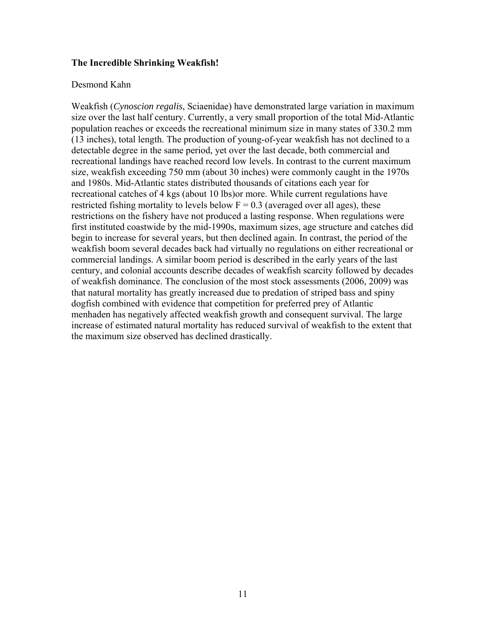#### **The Incredible Shrinking Weakfish!**

#### Desmond Kahn

Weakfish (*Cynoscion regalis*, Sciaenidae) have demonstrated large variation in maximum size over the last half century. Currently, a very small proportion of the total Mid-Atlantic population reaches or exceeds the recreational minimum size in many states of 330.2 mm (13 inches), total length. The production of young-of-year weakfish has not declined to a detectable degree in the same period, yet over the last decade, both commercial and recreational landings have reached record low levels. In contrast to the current maximum size, weakfish exceeding 750 mm (about 30 inches) were commonly caught in the 1970s and 1980s. Mid-Atlantic states distributed thousands of citations each year for recreational catches of 4 kgs (about 10 lbs)or more. While current regulations have restricted fishing mortality to levels below  $F = 0.3$  (averaged over all ages), these restrictions on the fishery have not produced a lasting response. When regulations were first instituted coastwide by the mid-1990s, maximum sizes, age structure and catches did begin to increase for several years, but then declined again. In contrast, the period of the weakfish boom several decades back had virtually no regulations on either recreational or commercial landings. A similar boom period is described in the early years of the last century, and colonial accounts describe decades of weakfish scarcity followed by decades of weakfish dominance. The conclusion of the most stock assessments (2006, 2009) was that natural mortality has greatly increased due to predation of striped bass and spiny dogfish combined with evidence that competition for preferred prey of Atlantic menhaden has negatively affected weakfish growth and consequent survival. The large increase of estimated natural mortality has reduced survival of weakfish to the extent that the maximum size observed has declined drastically.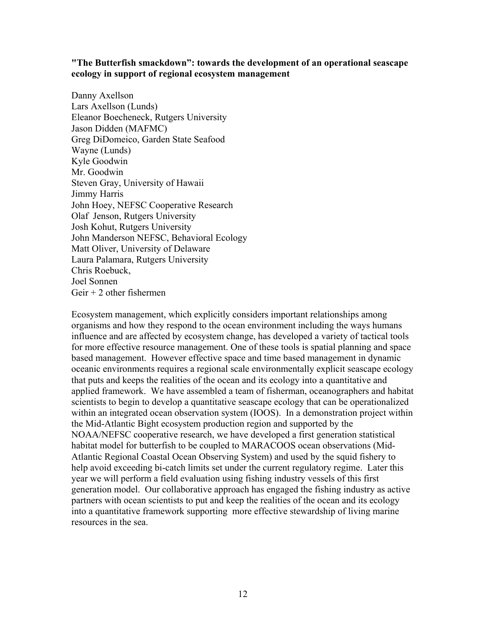#### **"The Butterfish smackdown": towards the development of an operational seascape ecology in support of regional ecosystem management**

Danny Axellson Lars Axellson (Lunds) Eleanor Boecheneck, Rutgers University Jason Didden (MAFMC) Greg DiDomeico, Garden State Seafood Wayne (Lunds) Kyle Goodwin Mr. Goodwin Steven Gray, University of Hawaii Jimmy Harris John Hoey, NEFSC Cooperative Research Olaf Jenson, Rutgers University Josh Kohut, Rutgers University John Manderson NEFSC, Behavioral Ecology Matt Oliver, University of Delaware Laura Palamara, Rutgers University Chris Roebuck, Joel Sonnen Geir  $+2$  other fishermen

Ecosystem management, which explicitly considers important relationships among organisms and how they respond to the ocean environment including the ways humans influence and are affected by ecosystem change, has developed a variety of tactical tools for more effective resource management. One of these tools is spatial planning and space based management. However effective space and time based management in dynamic oceanic environments requires a regional scale environmentally explicit seascape ecology that puts and keeps the realities of the ocean and its ecology into a quantitative and applied framework. We have assembled a team of fisherman, oceanographers and habitat scientists to begin to develop a quantitative seascape ecology that can be operationalized within an integrated ocean observation system (IOOS). In a demonstration project within the Mid-Atlantic Bight ecosystem production region and supported by the NOAA/NEFSC cooperative research, we have developed a first generation statistical habitat model for butterfish to be coupled to MARACOOS ocean observations (Mid-Atlantic Regional Coastal Ocean Observing System) and used by the squid fishery to help avoid exceeding bi-catch limits set under the current regulatory regime. Later this year we will perform a field evaluation using fishing industry vessels of this first generation model. Our collaborative approach has engaged the fishing industry as active partners with ocean scientists to put and keep the realities of the ocean and its ecology into a quantitative framework supporting more effective stewardship of living marine resources in the sea.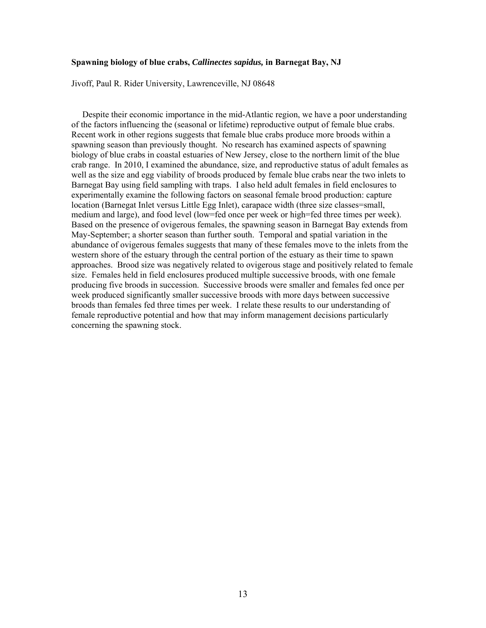#### **Spawning biology of blue crabs,** *Callinectes sapidus,* **in Barnegat Bay, NJ**

Jivoff, Paul R. Rider University, Lawrenceville, NJ 08648

 Despite their economic importance in the mid-Atlantic region, we have a poor understanding of the factors influencing the (seasonal or lifetime) reproductive output of female blue crabs. Recent work in other regions suggests that female blue crabs produce more broods within a spawning season than previously thought. No research has examined aspects of spawning biology of blue crabs in coastal estuaries of New Jersey, close to the northern limit of the blue crab range. In 2010, I examined the abundance, size, and reproductive status of adult females as well as the size and egg viability of broods produced by female blue crabs near the two inlets to Barnegat Bay using field sampling with traps. I also held adult females in field enclosures to experimentally examine the following factors on seasonal female brood production: capture location (Barnegat Inlet versus Little Egg Inlet), carapace width (three size classes=small, medium and large), and food level (low=fed once per week or high=fed three times per week). Based on the presence of ovigerous females, the spawning season in Barnegat Bay extends from May-September; a shorter season than further south. Temporal and spatial variation in the abundance of ovigerous females suggests that many of these females move to the inlets from the western shore of the estuary through the central portion of the estuary as their time to spawn approaches. Brood size was negatively related to ovigerous stage and positively related to female size. Females held in field enclosures produced multiple successive broods, with one female producing five broods in succession. Successive broods were smaller and females fed once per week produced significantly smaller successive broods with more days between successive broods than females fed three times per week. I relate these results to our understanding of female reproductive potential and how that may inform management decisions particularly concerning the spawning stock.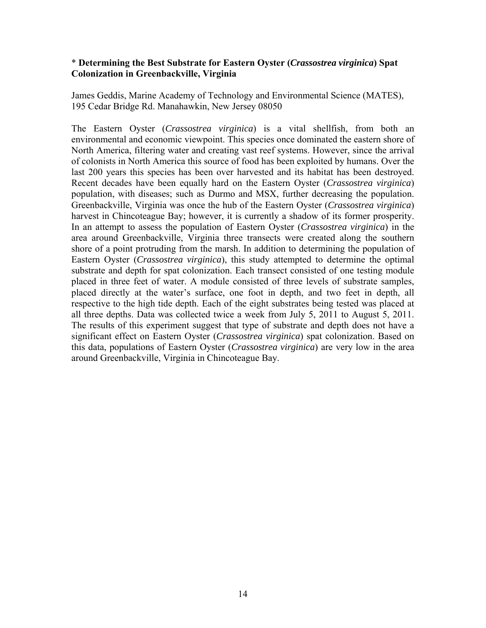### \* **Determining the Best Substrate for Eastern Oyster (***Crassostrea virginica***) Spat Colonization in Greenbackville, Virginia**

James Geddis, Marine Academy of Technology and Environmental Science (MATES), 195 Cedar Bridge Rd. Manahawkin, New Jersey 08050

The Eastern Oyster (*Crassostrea virginica*) is a vital shellfish, from both an environmental and economic viewpoint. This species once dominated the eastern shore of North America, filtering water and creating vast reef systems. However, since the arrival of colonists in North America this source of food has been exploited by humans. Over the last 200 years this species has been over harvested and its habitat has been destroyed. Recent decades have been equally hard on the Eastern Oyster (*Crassostrea virginica*) population, with diseases; such as Durmo and MSX, further decreasing the population. Greenbackville, Virginia was once the hub of the Eastern Oyster (*Crassostrea virginica*) harvest in Chincoteague Bay; however, it is currently a shadow of its former prosperity. In an attempt to assess the population of Eastern Oyster (*Crassostrea virginica*) in the area around Greenbackville, Virginia three transects were created along the southern shore of a point protruding from the marsh. In addition to determining the population of Eastern Oyster (*Crassostrea virginica*), this study attempted to determine the optimal substrate and depth for spat colonization. Each transect consisted of one testing module placed in three feet of water. A module consisted of three levels of substrate samples, placed directly at the water's surface, one foot in depth, and two feet in depth, all respective to the high tide depth. Each of the eight substrates being tested was placed at all three depths. Data was collected twice a week from July 5, 2011 to August 5, 2011. The results of this experiment suggest that type of substrate and depth does not have a significant effect on Eastern Oyster (*Crassostrea virginica*) spat colonization. Based on this data, populations of Eastern Oyster (*Crassostrea virginica*) are very low in the area around Greenbackville, Virginia in Chincoteague Bay.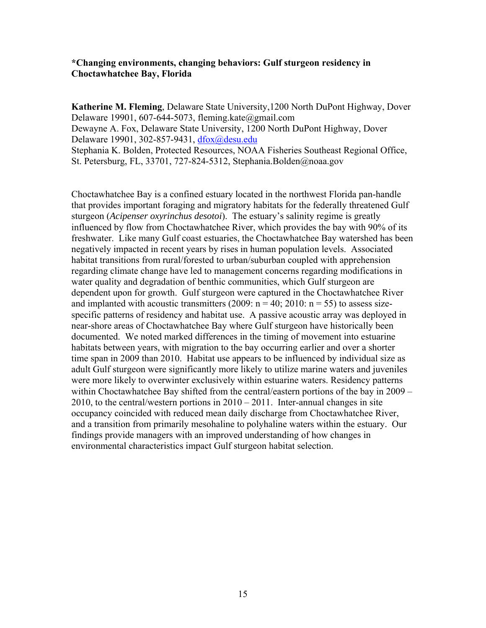#### **\*Changing environments, changing behaviors: Gulf sturgeon residency in Choctawhatchee Bay, Florida**

**Katherine M. Fleming**, Delaware State University,1200 North DuPont Highway, Dover Delaware 19901, 607-644-5073, fleming.kate@gmail.com Dewayne A. Fox, Delaware State University, 1200 North DuPont Highway, Dover Delaware 19901, 302-857-9431, dfox@desu.edu Stephania K. Bolden, Protected Resources, NOAA Fisheries Southeast Regional Office, St. Petersburg, FL, 33701, 727-824-5312, Stephania.Bolden@noaa.gov

Choctawhatchee Bay is a confined estuary located in the northwest Florida pan-handle that provides important foraging and migratory habitats for the federally threatened Gulf sturgeon (*Acipenser oxyrinchus desotoi*). The estuary's salinity regime is greatly influenced by flow from Choctawhatchee River, which provides the bay with 90% of its freshwater. Like many Gulf coast estuaries, the Choctawhatchee Bay watershed has been negatively impacted in recent years by rises in human population levels. Associated habitat transitions from rural/forested to urban/suburban coupled with apprehension regarding climate change have led to management concerns regarding modifications in water quality and degradation of benthic communities, which Gulf sturgeon are dependent upon for growth. Gulf sturgeon were captured in the Choctawhatchee River and implanted with acoustic transmitters  $(2009: n = 40; 2010: n = 55)$  to assess sizespecific patterns of residency and habitat use. A passive acoustic array was deployed in near-shore areas of Choctawhatchee Bay where Gulf sturgeon have historically been documented. We noted marked differences in the timing of movement into estuarine habitats between years, with migration to the bay occurring earlier and over a shorter time span in 2009 than 2010. Habitat use appears to be influenced by individual size as adult Gulf sturgeon were significantly more likely to utilize marine waters and juveniles were more likely to overwinter exclusively within estuarine waters. Residency patterns within Choctawhatchee Bay shifted from the central/eastern portions of the bay in 2009 – 2010, to the central/western portions in  $2010 - 2011$ . Inter-annual changes in site occupancy coincided with reduced mean daily discharge from Choctawhatchee River, and a transition from primarily mesohaline to polyhaline waters within the estuary. Our findings provide managers with an improved understanding of how changes in environmental characteristics impact Gulf sturgeon habitat selection.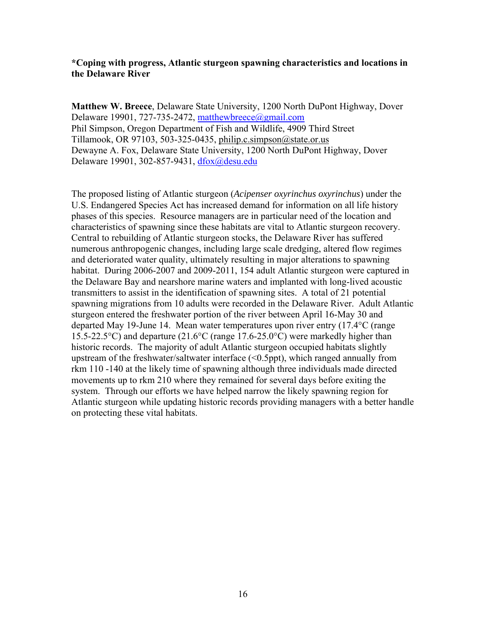## **\*Coping with progress, Atlantic sturgeon spawning characteristics and locations in the Delaware River**

**Matthew W. Breece**, Delaware State University, 1200 North DuPont Highway, Dover Delaware 19901, 727-735-2472, matthewbreece@gmail.com Phil Simpson, Oregon Department of Fish and Wildlife, 4909 Third Street Tillamook, OR 97103, 503-325-0435, philip.c.simpson@state.or.us Dewayne A. Fox, Delaware State University, 1200 North DuPont Highway, Dover Delaware 19901, 302-857-9431, dfox@desu.edu

The proposed listing of Atlantic sturgeon (*Acipenser oxyrinchus oxyrinchus*) under the U.S. Endangered Species Act has increased demand for information on all life history phases of this species. Resource managers are in particular need of the location and characteristics of spawning since these habitats are vital to Atlantic sturgeon recovery. Central to rebuilding of Atlantic sturgeon stocks, the Delaware River has suffered numerous anthropogenic changes, including large scale dredging, altered flow regimes and deteriorated water quality, ultimately resulting in major alterations to spawning habitat. During 2006-2007 and 2009-2011, 154 adult Atlantic sturgeon were captured in the Delaware Bay and nearshore marine waters and implanted with long-lived acoustic transmitters to assist in the identification of spawning sites. A total of 21 potential spawning migrations from 10 adults were recorded in the Delaware River. Adult Atlantic sturgeon entered the freshwater portion of the river between April 16-May 30 and departed May 19-June 14. Mean water temperatures upon river entry (17.4°C (range 15.5-22.5°C) and departure (21.6°C (range 17.6-25.0°C) were markedly higher than historic records. The majority of adult Atlantic sturgeon occupied habitats slightly upstream of the freshwater/saltwater interface (<0.5ppt), which ranged annually from rkm 110 -140 at the likely time of spawning although three individuals made directed movements up to rkm 210 where they remained for several days before exiting the system. Through our efforts we have helped narrow the likely spawning region for Atlantic sturgeon while updating historic records providing managers with a better handle on protecting these vital habitats.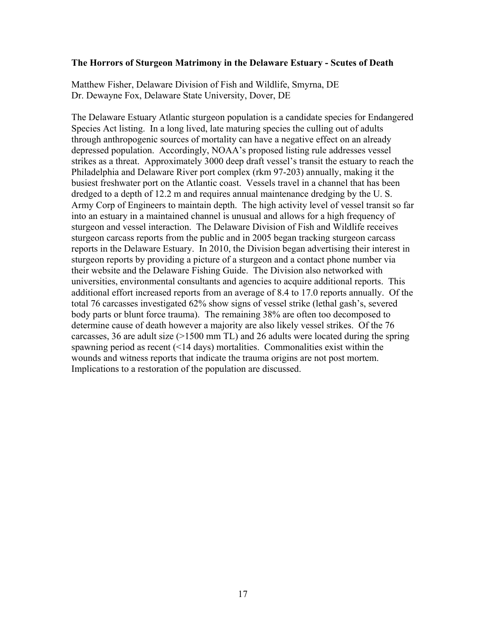#### **The Horrors of Sturgeon Matrimony in the Delaware Estuary - Scutes of Death**

Matthew Fisher, Delaware Division of Fish and Wildlife, Smyrna, DE Dr. Dewayne Fox, Delaware State University, Dover, DE

The Delaware Estuary Atlantic sturgeon population is a candidate species for Endangered Species Act listing. In a long lived, late maturing species the culling out of adults through anthropogenic sources of mortality can have a negative effect on an already depressed population. Accordingly, NOAA's proposed listing rule addresses vessel strikes as a threat. Approximately 3000 deep draft vessel's transit the estuary to reach the Philadelphia and Delaware River port complex (rkm 97-203) annually, making it the busiest freshwater port on the Atlantic coast. Vessels travel in a channel that has been dredged to a depth of 12.2 m and requires annual maintenance dredging by the U. S. Army Corp of Engineers to maintain depth. The high activity level of vessel transit so far into an estuary in a maintained channel is unusual and allows for a high frequency of sturgeon and vessel interaction. The Delaware Division of Fish and Wildlife receives sturgeon carcass reports from the public and in 2005 began tracking sturgeon carcass reports in the Delaware Estuary. In 2010, the Division began advertising their interest in sturgeon reports by providing a picture of a sturgeon and a contact phone number via their website and the Delaware Fishing Guide. The Division also networked with universities, environmental consultants and agencies to acquire additional reports. This additional effort increased reports from an average of 8.4 to 17.0 reports annually. Of the total 76 carcasses investigated 62% show signs of vessel strike (lethal gash's, severed body parts or blunt force trauma). The remaining 38% are often too decomposed to determine cause of death however a majority are also likely vessel strikes. Of the 76 carcasses, 36 are adult size  $(>1500 \text{ mm} \text{ TL})$  and 26 adults were located during the spring spawning period as recent (<14 days) mortalities. Commonalities exist within the wounds and witness reports that indicate the trauma origins are not post mortem. Implications to a restoration of the population are discussed.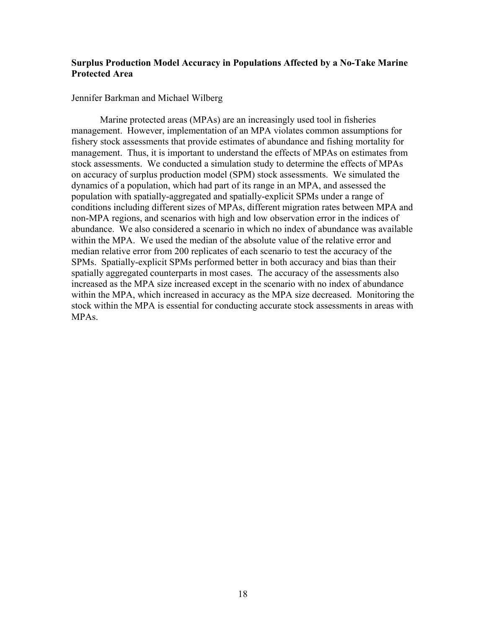## **Surplus Production Model Accuracy in Populations Affected by a No-Take Marine Protected Area**

Jennifer Barkman and Michael Wilberg

 Marine protected areas (MPAs) are an increasingly used tool in fisheries management. However, implementation of an MPA violates common assumptions for fishery stock assessments that provide estimates of abundance and fishing mortality for management. Thus, it is important to understand the effects of MPAs on estimates from stock assessments. We conducted a simulation study to determine the effects of MPAs on accuracy of surplus production model (SPM) stock assessments. We simulated the dynamics of a population, which had part of its range in an MPA, and assessed the population with spatially-aggregated and spatially-explicit SPMs under a range of conditions including different sizes of MPAs, different migration rates between MPA and non-MPA regions, and scenarios with high and low observation error in the indices of abundance. We also considered a scenario in which no index of abundance was available within the MPA. We used the median of the absolute value of the relative error and median relative error from 200 replicates of each scenario to test the accuracy of the SPMs. Spatially-explicit SPMs performed better in both accuracy and bias than their spatially aggregated counterparts in most cases. The accuracy of the assessments also increased as the MPA size increased except in the scenario with no index of abundance within the MPA, which increased in accuracy as the MPA size decreased. Monitoring the stock within the MPA is essential for conducting accurate stock assessments in areas with MPAs.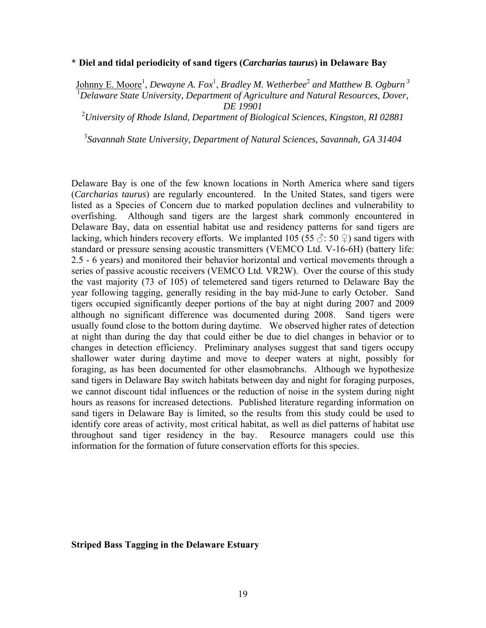#### \* **Diel and tidal periodicity of sand tigers (***Carcharias taurus***) in Delaware Bay**

Johnny E. Moore<sup>1</sup>, Dewayne A. Fox<sup>1</sup>, Bradley M. Wetherbee<sup>2</sup> and Matthew B. Ogburn <sup>3</sup> <sup>1</sup> Delaware State University, Department of Agriculture and Natural Resources, Dover, *DE 19901* 

2 *University of Rhode Island, Department of Biological Sciences, Kingston, RI 02881* 

3 *Savannah State University, Department of Natural Sciences, Savannah, GA 31404* 

Delaware Bay is one of the few known locations in North America where sand tigers (*Carcharias taurus*) are regularly encountered. In the United States, sand tigers were listed as a Species of Concern due to marked population declines and vulnerability to overfishing. Although sand tigers are the largest shark commonly encountered in Delaware Bay, data on essential habitat use and residency patterns for sand tigers are lacking, which hinders recovery efforts. We implanted 105 (55  $\Diamond$ : 50  $\Diamond$ ) sand tigers with standard or pressure sensing acoustic transmitters (VEMCO Ltd. V-16-6H) (battery life: 2.5 - 6 years) and monitored their behavior horizontal and vertical movements through a series of passive acoustic receivers (VEMCO Ltd. VR2W). Over the course of this study the vast majority (73 of 105) of telemetered sand tigers returned to Delaware Bay the year following tagging, generally residing in the bay mid-June to early October. Sand tigers occupied significantly deeper portions of the bay at night during 2007 and 2009 although no significant difference was documented during 2008. Sand tigers were usually found close to the bottom during daytime. We observed higher rates of detection at night than during the day that could either be due to diel changes in behavior or to changes in detection efficiency. Preliminary analyses suggest that sand tigers occupy shallower water during daytime and move to deeper waters at night, possibly for foraging, as has been documented for other elasmobranchs. Although we hypothesize sand tigers in Delaware Bay switch habitats between day and night for foraging purposes, we cannot discount tidal influences or the reduction of noise in the system during night hours as reasons for increased detections. Published literature regarding information on sand tigers in Delaware Bay is limited, so the results from this study could be used to identify core areas of activity, most critical habitat, as well as diel patterns of habitat use throughout sand tiger residency in the bay. Resource managers could use this information for the formation of future conservation efforts for this species.

#### **Striped Bass Tagging in the Delaware Estuary**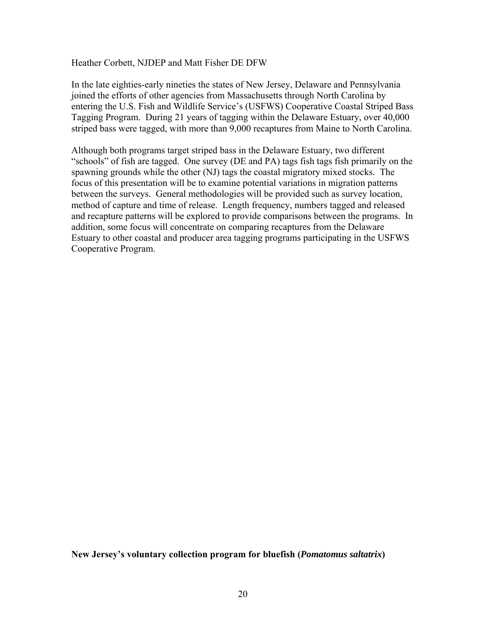Heather Corbett, NJDEP and Matt Fisher DE DFW

In the late eighties-early nineties the states of New Jersey, Delaware and Pennsylvania joined the efforts of other agencies from Massachusetts through North Carolina by entering the U.S. Fish and Wildlife Service's (USFWS) Cooperative Coastal Striped Bass Tagging Program. During 21 years of tagging within the Delaware Estuary, over 40,000 striped bass were tagged, with more than 9,000 recaptures from Maine to North Carolina.

Although both programs target striped bass in the Delaware Estuary, two different "schools" of fish are tagged. One survey (DE and PA) tags fish tags fish primarily on the spawning grounds while the other (NJ) tags the coastal migratory mixed stocks. The focus of this presentation will be to examine potential variations in migration patterns between the surveys. General methodologies will be provided such as survey location, method of capture and time of release. Length frequency, numbers tagged and released and recapture patterns will be explored to provide comparisons between the programs. In addition, some focus will concentrate on comparing recaptures from the Delaware Estuary to other coastal and producer area tagging programs participating in the USFWS Cooperative Program.

**New Jersey's voluntary collection program for bluefish (***Pomatomus saltatrix***)**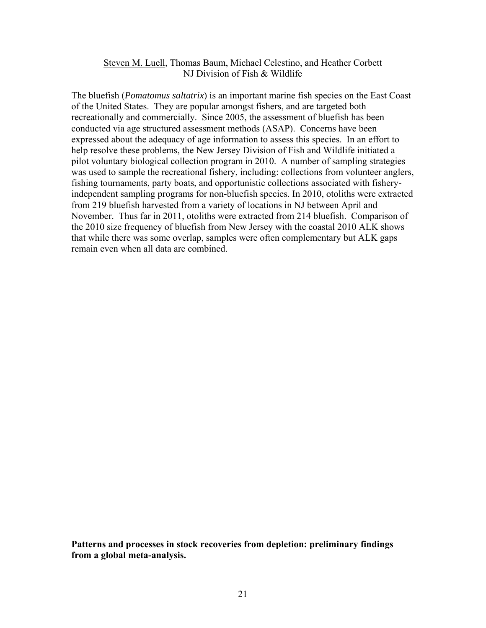#### Steven M. Luell, Thomas Baum, Michael Celestino, and Heather Corbett NJ Division of Fish & Wildlife

The bluefish (*Pomatomus saltatrix*) is an important marine fish species on the East Coast of the United States. They are popular amongst fishers, and are targeted both recreationally and commercially. Since 2005, the assessment of bluefish has been conducted via age structured assessment methods (ASAP). Concerns have been expressed about the adequacy of age information to assess this species. In an effort to help resolve these problems, the New Jersey Division of Fish and Wildlife initiated a pilot voluntary biological collection program in 2010. A number of sampling strategies was used to sample the recreational fishery, including: collections from volunteer anglers, fishing tournaments, party boats, and opportunistic collections associated with fisheryindependent sampling programs for non-bluefish species. In 2010, otoliths were extracted from 219 bluefish harvested from a variety of locations in NJ between April and November. Thus far in 2011, otoliths were extracted from 214 bluefish. Comparison of the 2010 size frequency of bluefish from New Jersey with the coastal 2010 ALK shows that while there was some overlap, samples were often complementary but ALK gaps remain even when all data are combined.

**Patterns and processes in stock recoveries from depletion: preliminary findings from a global meta-analysis.**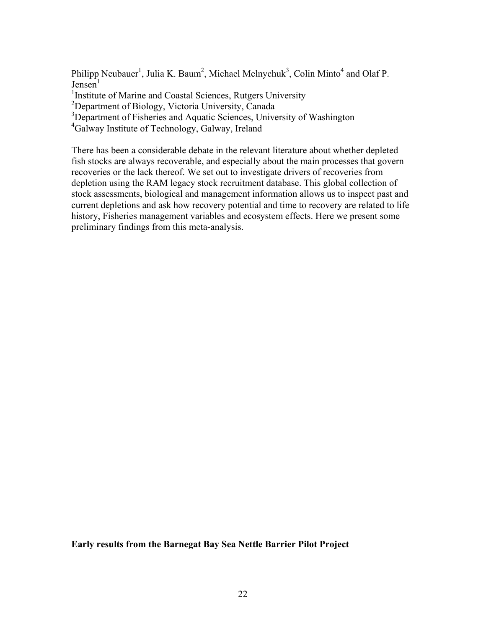Philipp Neubauer<sup>1</sup>, Julia K. Baum<sup>2</sup>, Michael Melnychuk<sup>3</sup>, Colin Minto<sup>4</sup> and Olaf P.  $Jensen<sup>1</sup>$ 

<sup>1</sup>Institute of Marine and Coastal Sciences, Rutgers University

<sup>2</sup>Department of Biology, Victoria University, Canada

<sup>3</sup>Department of Fisheries and Aquatic Sciences, University of Washington

4 Galway Institute of Technology, Galway, Ireland

There has been a considerable debate in the relevant literature about whether depleted fish stocks are always recoverable, and especially about the main processes that govern recoveries or the lack thereof. We set out to investigate drivers of recoveries from depletion using the RAM legacy stock recruitment database. This global collection of stock assessments, biological and management information allows us to inspect past and current depletions and ask how recovery potential and time to recovery are related to life history, Fisheries management variables and ecosystem effects. Here we present some preliminary findings from this meta-analysis.

**Early results from the Barnegat Bay Sea Nettle Barrier Pilot Project**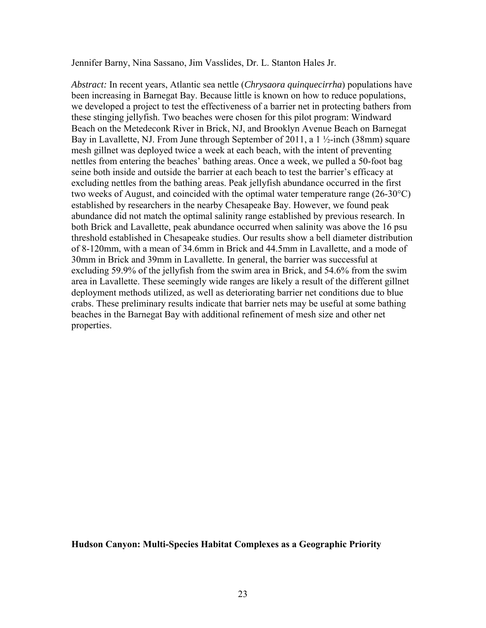Jennifer Barny, Nina Sassano, Jim Vasslides, Dr. L. Stanton Hales Jr.

*Abstract:* In recent years, Atlantic sea nettle (*Chrysaora quinquecirrha*) populations have been increasing in Barnegat Bay. Because little is known on how to reduce populations, we developed a project to test the effectiveness of a barrier net in protecting bathers from these stinging jellyfish. Two beaches were chosen for this pilot program: Windward Beach on the Metedeconk River in Brick, NJ, and Brooklyn Avenue Beach on Barnegat Bay in Lavallette, NJ. From June through September of 2011, a 1 ½-inch (38mm) square mesh gillnet was deployed twice a week at each beach, with the intent of preventing nettles from entering the beaches' bathing areas. Once a week, we pulled a 50-foot bag seine both inside and outside the barrier at each beach to test the barrier's efficacy at excluding nettles from the bathing areas. Peak jellyfish abundance occurred in the first two weeks of August, and coincided with the optimal water temperature range (26-30°C) established by researchers in the nearby Chesapeake Bay. However, we found peak abundance did not match the optimal salinity range established by previous research. In both Brick and Lavallette, peak abundance occurred when salinity was above the 16 psu threshold established in Chesapeake studies. Our results show a bell diameter distribution of 8-120mm, with a mean of 34.6mm in Brick and 44.5mm in Lavallette, and a mode of 30mm in Brick and 39mm in Lavallette. In general, the barrier was successful at excluding 59.9% of the jellyfish from the swim area in Brick, and 54.6% from the swim area in Lavallette. These seemingly wide ranges are likely a result of the different gillnet deployment methods utilized, as well as deteriorating barrier net conditions due to blue crabs. These preliminary results indicate that barrier nets may be useful at some bathing beaches in the Barnegat Bay with additional refinement of mesh size and other net properties.

**Hudson Canyon: Multi-Species Habitat Complexes as a Geographic Priority**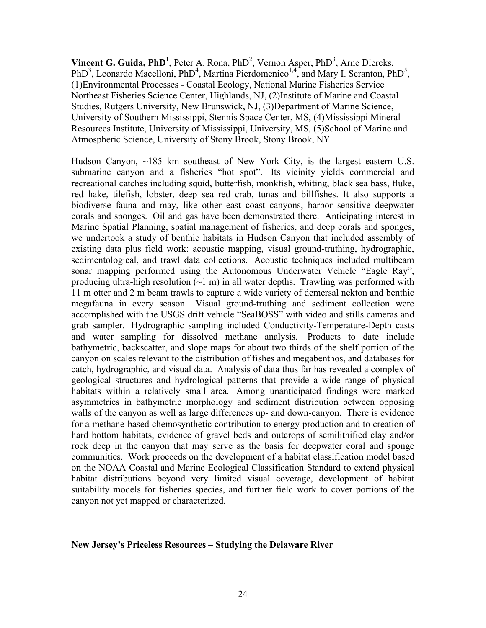**Vincent G. Guida, PhD**<sup>1</sup>, Peter A. Rona, PhD<sup>2</sup>, Vernon Asper, PhD<sup>3</sup>, Arne Diercks, PhD<sup>3</sup>, Leonardo Macelloni, PhD<sup>4</sup>, Martina Pierdomenico<sup>1,4</sup>, and Mary I. Scranton, PhD<sup>5</sup>, (1)Environmental Processes - Coastal Ecology, National Marine Fisheries Service Northeast Fisheries Science Center, Highlands, NJ, (2)Institute of Marine and Coastal Studies, Rutgers University, New Brunswick, NJ, (3)Department of Marine Science, University of Southern Mississippi, Stennis Space Center, MS, (4)Mississippi Mineral Resources Institute, University of Mississippi, University, MS, (5)School of Marine and Atmospheric Science, University of Stony Brook, Stony Brook, NY

Hudson Canyon, ~185 km southeast of New York City, is the largest eastern U.S. submarine canyon and a fisheries "hot spot". Its vicinity yields commercial and recreational catches including squid, butterfish, monkfish, whiting, black sea bass, fluke, red hake, tilefish, lobster, deep sea red crab, tunas and billfishes. It also supports a biodiverse fauna and may, like other east coast canyons, harbor sensitive deepwater corals and sponges. Oil and gas have been demonstrated there. Anticipating interest in Marine Spatial Planning, spatial management of fisheries, and deep corals and sponges, we undertook a study of benthic habitats in Hudson Canyon that included assembly of existing data plus field work: acoustic mapping, visual ground-truthing, hydrographic, sedimentological, and trawl data collections. Acoustic techniques included multibeam sonar mapping performed using the Autonomous Underwater Vehicle "Eagle Ray", producing ultra-high resolution  $(\sim 1 \text{ m})$  in all water depths. Trawling was performed with 11 m otter and 2 m beam trawls to capture a wide variety of demersal nekton and benthic megafauna in every season. Visual ground-truthing and sediment collection were accomplished with the USGS drift vehicle "SeaBOSS" with video and stills cameras and grab sampler. Hydrographic sampling included Conductivity-Temperature-Depth casts and water sampling for dissolved methane analysis. Products to date include bathymetric, backscatter, and slope maps for about two thirds of the shelf portion of the canyon on scales relevant to the distribution of fishes and megabenthos, and databases for catch, hydrographic, and visual data. Analysis of data thus far has revealed a complex of geological structures and hydrological patterns that provide a wide range of physical habitats within a relatively small area. Among unanticipated findings were marked asymmetries in bathymetric morphology and sediment distribution between opposing walls of the canyon as well as large differences up- and down-canyon. There is evidence for a methane-based chemosynthetic contribution to energy production and to creation of hard bottom habitats, evidence of gravel beds and outcrops of semilithified clay and/or rock deep in the canyon that may serve as the basis for deepwater coral and sponge communities. Work proceeds on the development of a habitat classification model based on the NOAA Coastal and Marine Ecological Classification Standard to extend physical habitat distributions beyond very limited visual coverage, development of habitat suitability models for fisheries species, and further field work to cover portions of the canyon not yet mapped or characterized.

#### **New Jersey's Priceless Resources – Studying the Delaware River**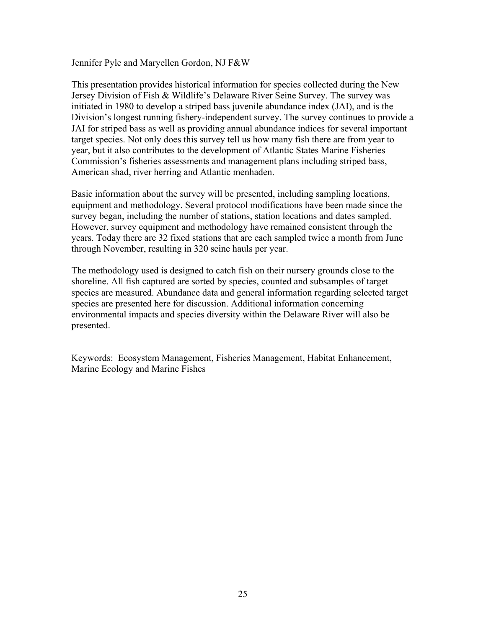Jennifer Pyle and Maryellen Gordon, NJ F&W

This presentation provides historical information for species collected during the New Jersey Division of Fish & Wildlife's Delaware River Seine Survey. The survey was initiated in 1980 to develop a striped bass juvenile abundance index (JAI), and is the Division's longest running fishery-independent survey. The survey continues to provide a JAI for striped bass as well as providing annual abundance indices for several important target species. Not only does this survey tell us how many fish there are from year to year, but it also contributes to the development of Atlantic States Marine Fisheries Commission's fisheries assessments and management plans including striped bass, American shad, river herring and Atlantic menhaden.

Basic information about the survey will be presented, including sampling locations, equipment and methodology. Several protocol modifications have been made since the survey began, including the number of stations, station locations and dates sampled. However, survey equipment and methodology have remained consistent through the years. Today there are 32 fixed stations that are each sampled twice a month from June through November, resulting in 320 seine hauls per year.

The methodology used is designed to catch fish on their nursery grounds close to the shoreline. All fish captured are sorted by species, counted and subsamples of target species are measured. Abundance data and general information regarding selected target species are presented here for discussion. Additional information concerning environmental impacts and species diversity within the Delaware River will also be presented.

Keywords: Ecosystem Management, Fisheries Management, Habitat Enhancement, Marine Ecology and Marine Fishes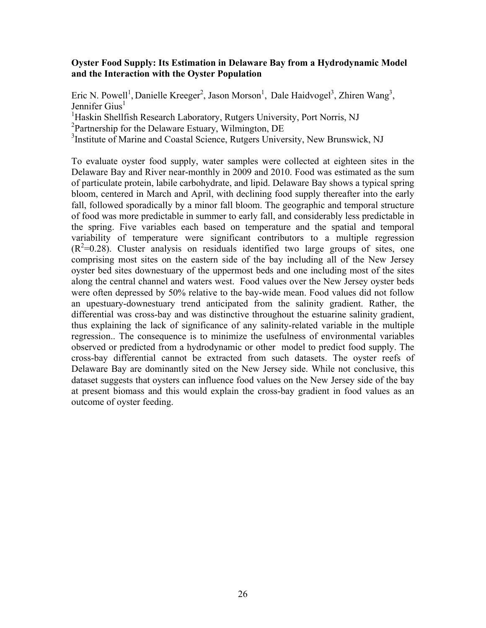#### **Oyster Food Supply: Its Estimation in Delaware Bay from a Hydrodynamic Model and the Interaction with the Oyster Population**

Eric N. Powell<sup>1</sup>, Danielle Kreeger<sup>2</sup>, Jason Morson<sup>1</sup>, Dale Haidvogel<sup>3</sup>, Zhiren Wang<sup>3</sup>, Jennifer  $Gius<sup>1</sup>$ 

<sup>1</sup>Haskin Shellfish Research Laboratory, Rutgers University, Port Norris, NJ

2 Partnership for the Delaware Estuary, Wilmington, DE

<sup>3</sup>Institute of Marine and Coastal Science, Rutgers University, New Brunswick, NJ

To evaluate oyster food supply, water samples were collected at eighteen sites in the Delaware Bay and River near-monthly in 2009 and 2010. Food was estimated as the sum of particulate protein, labile carbohydrate, and lipid. Delaware Bay shows a typical spring bloom, centered in March and April, with declining food supply thereafter into the early fall, followed sporadically by a minor fall bloom. The geographic and temporal structure of food was more predictable in summer to early fall, and considerably less predictable in the spring. Five variables each based on temperature and the spatial and temporal variability of temperature were significant contributors to a multiple regression  $(R<sup>2</sup>=0.28)$ . Cluster analysis on residuals identified two large groups of sites, one comprising most sites on the eastern side of the bay including all of the New Jersey oyster bed sites downestuary of the uppermost beds and one including most of the sites along the central channel and waters west. Food values over the New Jersey oyster beds were often depressed by 50% relative to the bay-wide mean. Food values did not follow an upestuary-downestuary trend anticipated from the salinity gradient. Rather, the differential was cross-bay and was distinctive throughout the estuarine salinity gradient, thus explaining the lack of significance of any salinity-related variable in the multiple regression.. The consequence is to minimize the usefulness of environmental variables observed or predicted from a hydrodynamic or other model to predict food supply. The cross-bay differential cannot be extracted from such datasets. The oyster reefs of Delaware Bay are dominantly sited on the New Jersey side. While not conclusive, this dataset suggests that oysters can influence food values on the New Jersey side of the bay at present biomass and this would explain the cross-bay gradient in food values as an outcome of oyster feeding.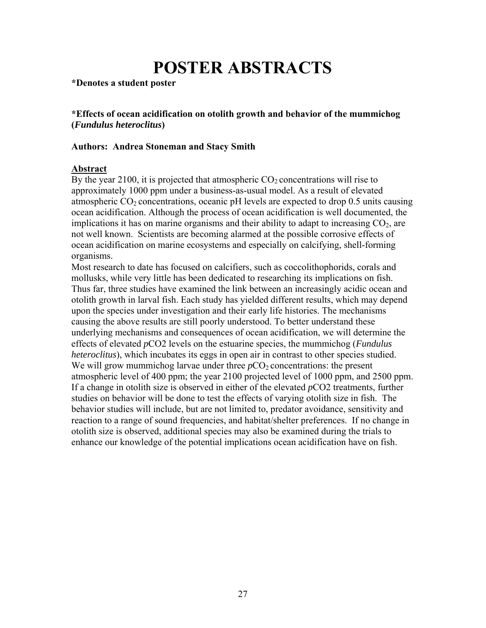# **POSTER ABSTRACTS**

**\*Denotes a student poster**

**\*Effects of ocean acidification on otolith growth and behavior of the mummichog (***Fundulus heteroclitus***)** 

#### **Authors: Andrea Stoneman and Stacy Smith**

#### **Abstract**

By the year 2100, it is projected that atmospheric  $CO<sub>2</sub>$  concentrations will rise to approximately 1000 ppm under a business-as-usual model. As a result of elevated atmospheric  $CO<sub>2</sub>$  concentrations, oceanic pH levels are expected to drop 0.5 units causing ocean acidification. Although the process of ocean acidification is well documented, the implications it has on marine organisms and their ability to adapt to increasing  $CO<sub>2</sub>$ , are not well known. Scientists are becoming alarmed at the possible corrosive effects of ocean acidification on marine ecosystems and especially on calcifying, shell-forming organisms.

Most research to date has focused on calcifiers, such as coccolithophorids, corals and mollusks, while very little has been dedicated to researching its implications on fish. Thus far, three studies have examined the link between an increasingly acidic ocean and otolith growth in larval fish. Each study has yielded different results, which may depend upon the species under investigation and their early life histories. The mechanisms causing the above results are still poorly understood. To better understand these underlying mechanisms and consequences of ocean acidification, we will determine the effects of elevated *p*CO2 levels on the estuarine species, the mummichog (*Fundulus heteroclitus*), which incubates its eggs in open air in contrast to other species studied. We will grow mummichog larvae under three *pCO*<sub>2</sub> concentrations: the present atmospheric level of 400 ppm; the year 2100 projected level of 1000 ppm, and 2500 ppm. If a change in otolith size is observed in either of the elevated *p*CO2 treatments, further studies on behavior will be done to test the effects of varying otolith size in fish. The behavior studies will include, but are not limited to, predator avoidance, sensitivity and reaction to a range of sound frequencies, and habitat/shelter preferences. If no change in otolith size is observed, additional species may also be examined during the trials to enhance our knowledge of the potential implications ocean acidification have on fish.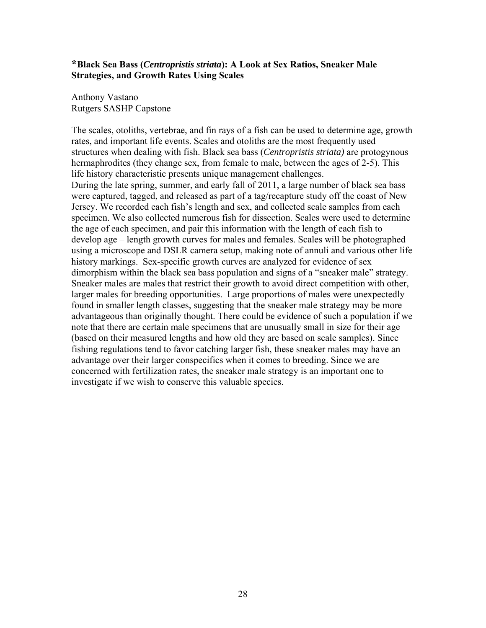## **\*Black Sea Bass (***Centropristis striata***): A Look at Sex Ratios, Sneaker Male Strategies, and Growth Rates Using Scales**

Anthony Vastano Rutgers SASHP Capstone

The scales, otoliths, vertebrae, and fin rays of a fish can be used to determine age, growth rates, and important life events. Scales and otoliths are the most frequently used structures when dealing with fish. Black sea bass (*Centropristis striata)* are protogynous hermaphrodites (they change sex, from female to male, between the ages of 2-5). This life history characteristic presents unique management challenges. During the late spring, summer, and early fall of 2011, a large number of black sea bass were captured, tagged, and released as part of a tag/recapture study off the coast of New Jersey. We recorded each fish's length and sex, and collected scale samples from each specimen. We also collected numerous fish for dissection. Scales were used to determine the age of each specimen, and pair this information with the length of each fish to develop age – length growth curves for males and females. Scales will be photographed using a microscope and DSLR camera setup, making note of annuli and various other life history markings. Sex-specific growth curves are analyzed for evidence of sex dimorphism within the black sea bass population and signs of a "sneaker male" strategy. Sneaker males are males that restrict their growth to avoid direct competition with other, larger males for breeding opportunities. Large proportions of males were unexpectedly found in smaller length classes, suggesting that the sneaker male strategy may be more advantageous than originally thought. There could be evidence of such a population if we note that there are certain male specimens that are unusually small in size for their age (based on their measured lengths and how old they are based on scale samples). Since fishing regulations tend to favor catching larger fish, these sneaker males may have an advantage over their larger conspecifics when it comes to breeding. Since we are concerned with fertilization rates, the sneaker male strategy is an important one to investigate if we wish to conserve this valuable species.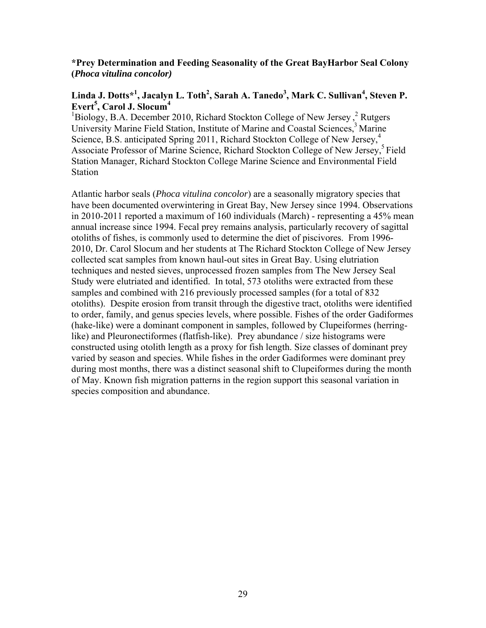# **\*Prey Determination and Feeding Seasonality of the Great BayHarbor Seal Colony (***Phoca vitulina concolor)*

# $\mathbf{Linda\ J.}\ \mathbf{Dotts^*}^1, \mathbf{Jacalyn\ L.}\ \mathbf{Toth}^2, \mathbf{Sarah\ A.}\ \mathbf{Tanedo}^3, \mathbf{Mark\ C.}\ \mathbf{Sullivan}^4, \mathbf{Steven\ P.}\ \mathbf{C.}\ \mathbf{C.}\ \mathbf{C.}\ \mathbf{C.}\ \mathbf{C.}\ \mathbf{C.}\ \mathbf{C.}\ \mathbf{C.}\ \mathbf{C.}\ \mathbf{C.}\ \mathbf{C.}\ \mathbf{C.}\ \mathbf{C.}\ \mathbf{C.}\ \mathbf{C.}\ \mathbf{C.}\ \mathbf{C.}\ \mathbf{C.}\ \$ **Evert<sup>5</sup>, Carol J. Slocum<sup>4</sup>**

Biology, B.A. December 2010, Richard Stockton College of New Jersey,<sup>2</sup> Rutgers University Marine Field Station, Institute of Marine and Coastal Sciences,<sup>3</sup> Marine Science, B.S. anticipated Spring 2011, Richard Stockton College of New Jersey,<sup>4</sup> Associate Professor of Marine Science, Richard Stockton College of New Jersey,<sup>5</sup> Field Station Manager, Richard Stockton College Marine Science and Environmental Field Station

Atlantic harbor seals (*Phoca vitulina concolor*) are a seasonally migratory species that have been documented overwintering in Great Bay, New Jersey since 1994. Observations in 2010-2011 reported a maximum of 160 individuals (March) - representing a 45% mean annual increase since 1994. Fecal prey remains analysis, particularly recovery of sagittal otoliths of fishes, is commonly used to determine the diet of piscivores. From 1996- 2010, Dr. Carol Slocum and her students at The Richard Stockton College of New Jersey collected scat samples from known haul-out sites in Great Bay. Using elutriation techniques and nested sieves, unprocessed frozen samples from The New Jersey Seal Study were elutriated and identified. In total, 573 otoliths were extracted from these samples and combined with 216 previously processed samples (for a total of 832 otoliths). Despite erosion from transit through the digestive tract, otoliths were identified to order, family, and genus species levels, where possible. Fishes of the order Gadiformes (hake-like) were a dominant component in samples, followed by Clupeiformes (herringlike) and Pleuronectiformes (flatfish-like). Prey abundance / size histograms were constructed using otolith length as a proxy for fish length. Size classes of dominant prey varied by season and species. While fishes in the order Gadiformes were dominant prey during most months, there was a distinct seasonal shift to Clupeiformes during the month of May. Known fish migration patterns in the region support this seasonal variation in species composition and abundance.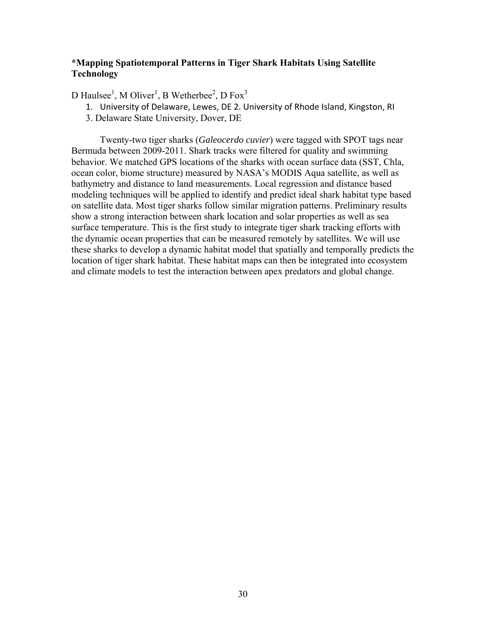## **\*Mapping Spatiotemporal Patterns in Tiger Shark Habitats Using Satellite Technology**

D Haulsee<sup>1</sup>, M Oliver<sup>1</sup>, B Wetherbee<sup>2</sup>, D Fox<sup>3</sup>

- 1. University of Delaware, Lewes, DE 2. University of Rhode Island, Kingston, RI
- 3. Delaware State University, Dover, DE

 Twenty-two tiger sharks (*Galeocerdo cuvier*) were tagged with SPOT tags near Bermuda between 2009-2011. Shark tracks were filtered for quality and swimming behavior. We matched GPS locations of the sharks with ocean surface data (SST, Chla, ocean color, biome structure) measured by NASA's MODIS Aqua satellite, as well as bathymetry and distance to land measurements. Local regression and distance based modeling techniques will be applied to identify and predict ideal shark habitat type based on satellite data. Most tiger sharks follow similar migration patterns. Preliminary results show a strong interaction between shark location and solar properties as well as sea surface temperature. This is the first study to integrate tiger shark tracking efforts with the dynamic ocean properties that can be measured remotely by satellites. We will use these sharks to develop a dynamic habitat model that spatially and temporally predicts the location of tiger shark habitat. These habitat maps can then be integrated into ecosystem and climate models to test the interaction between apex predators and global change.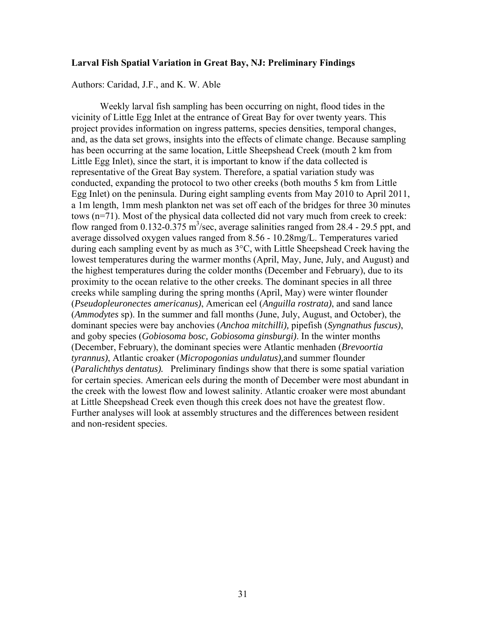#### **Larval Fish Spatial Variation in Great Bay, NJ: Preliminary Findings**

Authors: Caridad, J.F., and K. W. Able

 Weekly larval fish sampling has been occurring on night, flood tides in the vicinity of Little Egg Inlet at the entrance of Great Bay for over twenty years. This project provides information on ingress patterns, species densities, temporal changes, and, as the data set grows, insights into the effects of climate change. Because sampling has been occurring at the same location, Little Sheepshead Creek (mouth 2 km from Little Egg Inlet), since the start, it is important to know if the data collected is representative of the Great Bay system. Therefore, a spatial variation study was conducted, expanding the protocol to two other creeks (both mouths 5 km from Little Egg Inlet) on the peninsula. During eight sampling events from May 2010 to April 2011, a 1m length, 1mm mesh plankton net was set off each of the bridges for three 30 minutes tows (n=71). Most of the physical data collected did not vary much from creek to creek: flow ranged from 0.132-0.375 m<sup>3</sup>/sec, average salinities ranged from 28.4 - 29.5 ppt, and average dissolved oxygen values ranged from 8.56 - 10.28mg/L. Temperatures varied during each sampling event by as much as 3°C, with Little Sheepshead Creek having the lowest temperatures during the warmer months (April, May, June, July, and August) and the highest temperatures during the colder months (December and February), due to its proximity to the ocean relative to the other creeks. The dominant species in all three creeks while sampling during the spring months (April, May) were winter flounder (*Pseudopleuronectes americanus)*, American eel (*Anguilla rostrata)*, and sand lance (*Ammodytes* sp). In the summer and fall months (June, July, August, and October), the dominant species were bay anchovies (*Anchoa mitchilli),* pipefish (*Syngnathus fuscus)*, and goby species (*Gobiosoma bosc, Gobiosoma ginsburgi)*. In the winter months (December, February), the dominant species were Atlantic menhaden (*Brevoortia tyrannus)*, Atlantic croaker (*Micropogonias undulatus),*and summer flounder (*Paralichthys dentatus).* Preliminary findings show that there is some spatial variation for certain species. American eels during the month of December were most abundant in the creek with the lowest flow and lowest salinity. Atlantic croaker were most abundant at Little Sheepshead Creek even though this creek does not have the greatest flow. Further analyses will look at assembly structures and the differences between resident and non-resident species.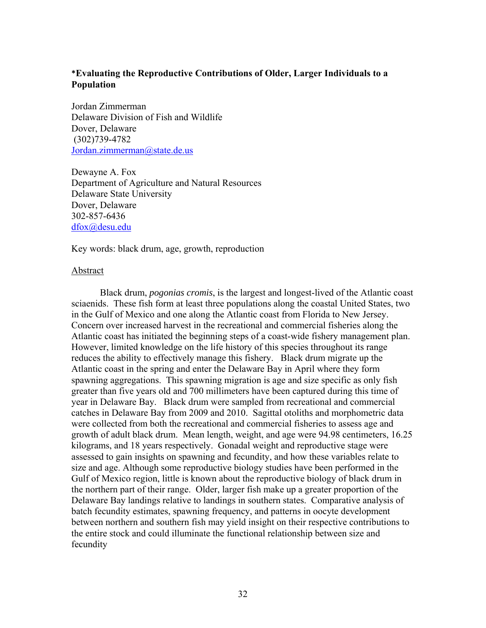# **\*Evaluating the Reproductive Contributions of Older, Larger Individuals to a Population**

Jordan Zimmerman Delaware Division of Fish and Wildlife Dover, Delaware (302)739-4782 Jordan.zimmerman@state.de.us

Dewayne A. Fox Department of Agriculture and Natural Resources Delaware State University Dover, Delaware 302-857-6436 dfox@desu.edu

Key words: black drum, age, growth, reproduction

#### Abstract

Black drum, *pogonias cromis*, is the largest and longest-lived of the Atlantic coast sciaenids. These fish form at least three populations along the coastal United States, two in the Gulf of Mexico and one along the Atlantic coast from Florida to New Jersey. Concern over increased harvest in the recreational and commercial fisheries along the Atlantic coast has initiated the beginning steps of a coast-wide fishery management plan. However, limited knowledge on the life history of this species throughout its range reduces the ability to effectively manage this fishery. Black drum migrate up the Atlantic coast in the spring and enter the Delaware Bay in April where they form spawning aggregations. This spawning migration is age and size specific as only fish greater than five years old and 700 millimeters have been captured during this time of year in Delaware Bay. Black drum were sampled from recreational and commercial catches in Delaware Bay from 2009 and 2010. Sagittal otoliths and morphometric data were collected from both the recreational and commercial fisheries to assess age and growth of adult black drum. Mean length, weight, and age were 94.98 centimeters, 16.25 kilograms, and 18 years respectively. Gonadal weight and reproductive stage were assessed to gain insights on spawning and fecundity, and how these variables relate to size and age. Although some reproductive biology studies have been performed in the Gulf of Mexico region, little is known about the reproductive biology of black drum in the northern part of their range. Older, larger fish make up a greater proportion of the Delaware Bay landings relative to landings in southern states. Comparative analysis of batch fecundity estimates, spawning frequency, and patterns in oocyte development between northern and southern fish may yield insight on their respective contributions to the entire stock and could illuminate the functional relationship between size and fecundity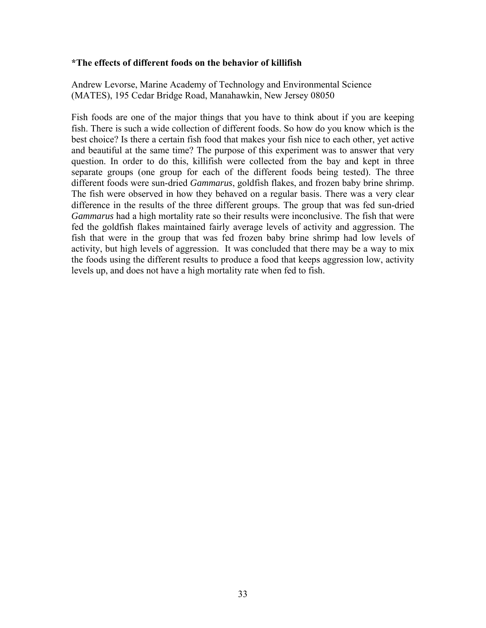#### **\*The effects of different foods on the behavior of killifish**

Andrew Levorse, Marine Academy of Technology and Environmental Science (MATES), 195 Cedar Bridge Road, Manahawkin, New Jersey 08050

Fish foods are one of the major things that you have to think about if you are keeping fish. There is such a wide collection of different foods. So how do you know which is the best choice? Is there a certain fish food that makes your fish nice to each other, yet active and beautiful at the same time? The purpose of this experiment was to answer that very question. In order to do this, killifish were collected from the bay and kept in three separate groups (one group for each of the different foods being tested). The three different foods were sun-dried *Gammarus*, goldfish flakes, and frozen baby brine shrimp. The fish were observed in how they behaved on a regular basis. There was a very clear difference in the results of the three different groups. The group that was fed sun-dried *Gammarus* had a high mortality rate so their results were inconclusive. The fish that were fed the goldfish flakes maintained fairly average levels of activity and aggression. The fish that were in the group that was fed frozen baby brine shrimp had low levels of activity, but high levels of aggression. It was concluded that there may be a way to mix the foods using the different results to produce a food that keeps aggression low, activity levels up, and does not have a high mortality rate when fed to fish.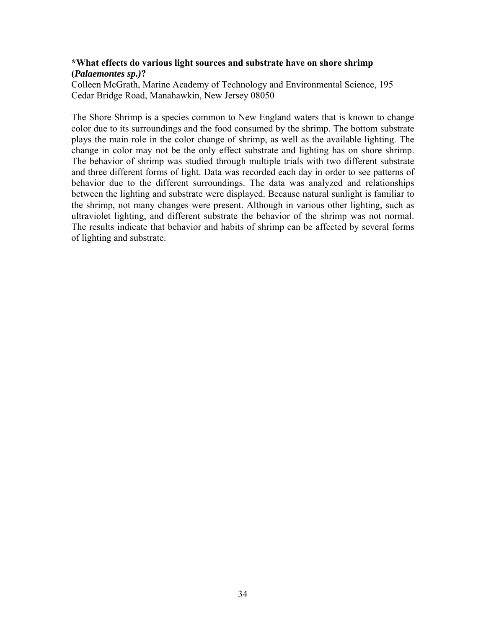## **\*What effects do various light sources and substrate have on shore shrimp (***Palaemontes sp.)***?**

Colleen McGrath, Marine Academy of Technology and Environmental Science, 195 Cedar Bridge Road, Manahawkin, New Jersey 08050

The Shore Shrimp is a species common to New England waters that is known to change color due to its surroundings and the food consumed by the shrimp. The bottom substrate plays the main role in the color change of shrimp, as well as the available lighting. The change in color may not be the only effect substrate and lighting has on shore shrimp. The behavior of shrimp was studied through multiple trials with two different substrate and three different forms of light. Data was recorded each day in order to see patterns of behavior due to the different surroundings. The data was analyzed and relationships between the lighting and substrate were displayed. Because natural sunlight is familiar to the shrimp, not many changes were present. Although in various other lighting, such as ultraviolet lighting, and different substrate the behavior of the shrimp was not normal. The results indicate that behavior and habits of shrimp can be affected by several forms of lighting and substrate.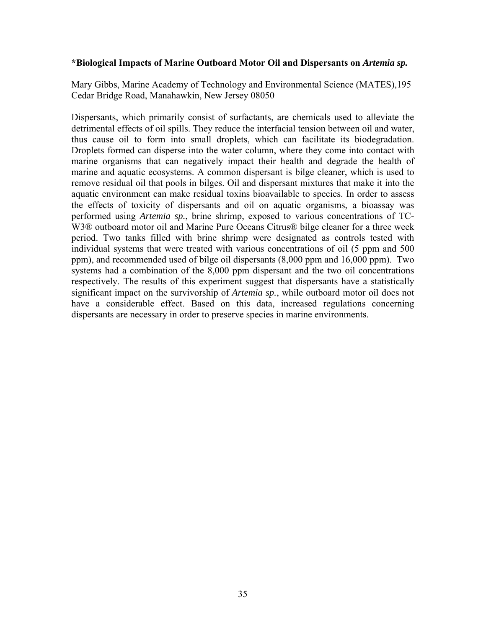#### **\*Biological Impacts of Marine Outboard Motor Oil and Dispersants on** *Artemia sp.*

Mary Gibbs, Marine Academy of Technology and Environmental Science (MATES),195 Cedar Bridge Road, Manahawkin, New Jersey 08050

Dispersants, which primarily consist of surfactants, are chemicals used to alleviate the detrimental effects of oil spills. They reduce the interfacial tension between oil and water, thus cause oil to form into small droplets, which can facilitate its biodegradation. Droplets formed can disperse into the water column, where they come into contact with marine organisms that can negatively impact their health and degrade the health of marine and aquatic ecosystems. A common dispersant is bilge cleaner, which is used to remove residual oil that pools in bilges. Oil and dispersant mixtures that make it into the aquatic environment can make residual toxins bioavailable to species. In order to assess the effects of toxicity of dispersants and oil on aquatic organisms, a bioassay was performed using *Artemia sp.*, brine shrimp, exposed to various concentrations of TC-W3<sup>®</sup> outboard motor oil and Marine Pure Oceans Citrus<sup>®</sup> bilge cleaner for a three week period. Two tanks filled with brine shrimp were designated as controls tested with individual systems that were treated with various concentrations of oil (5 ppm and 500 ppm), and recommended used of bilge oil dispersants (8,000 ppm and 16,000 ppm). Two systems had a combination of the 8,000 ppm dispersant and the two oil concentrations respectively. The results of this experiment suggest that dispersants have a statistically significant impact on the survivorship of *Artemia sp.*, while outboard motor oil does not have a considerable effect. Based on this data, increased regulations concerning dispersants are necessary in order to preserve species in marine environments.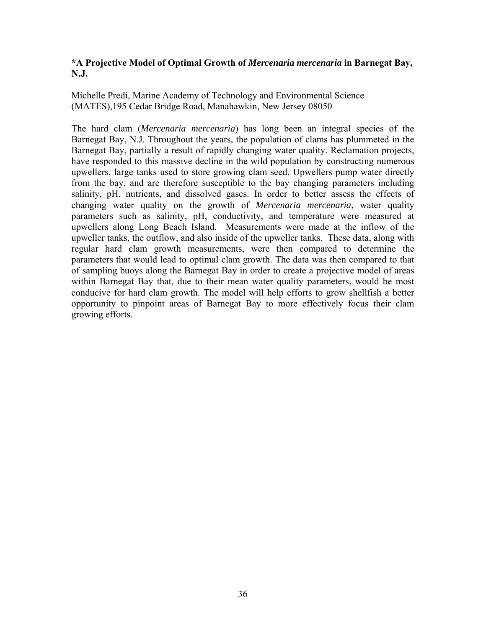# **\*A Projective Model of Optimal Growth of** *Mercenaria mercenaria* **in Barnegat Bay, N.J.**

Michelle Predi, Marine Academy of Technology and Environmental Science (MATES),195 Cedar Bridge Road, Manahawkin, New Jersey 08050

The hard clam (*Mercenaria mercenaria*) has long been an integral species of the Barnegat Bay, N.J. Throughout the years, the population of clams has plummeted in the Barnegat Bay, partially a result of rapidly changing water quality. Reclamation projects, have responded to this massive decline in the wild population by constructing numerous upwellers, large tanks used to store growing clam seed. Upwellers pump water directly from the bay, and are therefore susceptible to the bay changing parameters including salinity, pH, nutrients, and dissolved gases. In order to better assess the effects of changing water quality on the growth of *Mercenaria mercenaria*, water quality parameters such as salinity, pH, conductivity, and temperature were measured at upwellers along Long Beach Island. Measurements were made at the inflow of the upweller tanks, the outflow, and also inside of the upweller tanks. These data, along with regular hard clam growth measurements, were then compared to determine the parameters that would lead to optimal clam growth. The data was then compared to that of sampling buoys along the Barnegat Bay in order to create a projective model of areas within Barnegat Bay that, due to their mean water quality parameters, would be most conducive for hard clam growth. The model will help efforts to grow shellfish a better opportunity to pinpoint areas of Barnegat Bay to more effectively focus their clam growing efforts.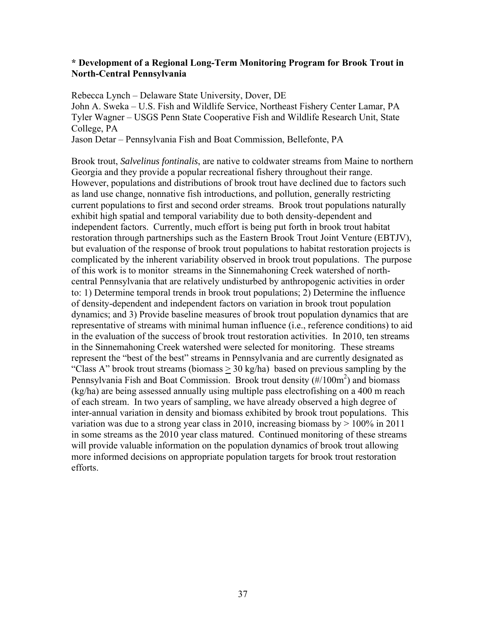## **\* Development of a Regional Long-Term Monitoring Program for Brook Trout in North-Central Pennsylvania**

Rebecca Lynch – Delaware State University, Dover, DE John A. Sweka – U.S. Fish and Wildlife Service, Northeast Fishery Center Lamar, PA Tyler Wagner – USGS Penn State Cooperative Fish and Wildlife Research Unit, State College, PA

Jason Detar – Pennsylvania Fish and Boat Commission, Bellefonte, PA

Brook trout, *Salvelinus fontinalis*, are native to coldwater streams from Maine to northern Georgia and they provide a popular recreational fishery throughout their range. However, populations and distributions of brook trout have declined due to factors such as land use change, nonnative fish introductions, and pollution, generally restricting current populations to first and second order streams. Brook trout populations naturally exhibit high spatial and temporal variability due to both density-dependent and independent factors. Currently, much effort is being put forth in brook trout habitat restoration through partnerships such as the Eastern Brook Trout Joint Venture (EBTJV), but evaluation of the response of brook trout populations to habitat restoration projects is complicated by the inherent variability observed in brook trout populations. The purpose of this work is to monitor streams in the Sinnemahoning Creek watershed of northcentral Pennsylvania that are relatively undisturbed by anthropogenic activities in order to: 1) Determine temporal trends in brook trout populations; 2) Determine the influence of density-dependent and independent factors on variation in brook trout population dynamics; and 3) Provide baseline measures of brook trout population dynamics that are representative of streams with minimal human influence (i.e., reference conditions) to aid in the evaluation of the success of brook trout restoration activities. In 2010, ten streams in the Sinnemahoning Creek watershed were selected for monitoring. These streams represent the "best of the best" streams in Pennsylvania and are currently designated as "Class A" brook trout streams (biomass > 30 kg/ha) based on previous sampling by the Pennsylvania Fish and Boat Commission. Brook trout density (#/100m<sup>2</sup>) and biomass (kg/ha) are being assessed annually using multiple pass electrofishing on a 400 m reach of each stream. In two years of sampling, we have already observed a high degree of inter-annual variation in density and biomass exhibited by brook trout populations. This variation was due to a strong year class in 2010, increasing biomass by  $> 100\%$  in 2011 in some streams as the 2010 year class matured. Continued monitoring of these streams will provide valuable information on the population dynamics of brook trout allowing more informed decisions on appropriate population targets for brook trout restoration efforts.